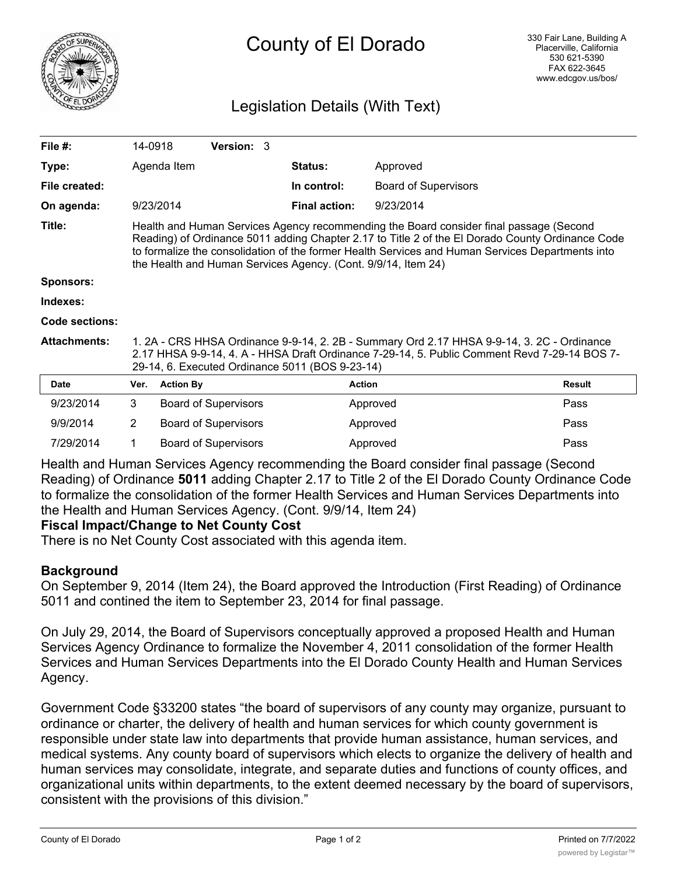

# County of El Dorado

# Legislation Details (With Text)

| File #:             | 14-0918                                                                                                                                                                                                                                                                                                                                                         |                  | Version: 3                  |  |                      |                             |               |
|---------------------|-----------------------------------------------------------------------------------------------------------------------------------------------------------------------------------------------------------------------------------------------------------------------------------------------------------------------------------------------------------------|------------------|-----------------------------|--|----------------------|-----------------------------|---------------|
| Type:               |                                                                                                                                                                                                                                                                                                                                                                 | Agenda Item      |                             |  | <b>Status:</b>       | Approved                    |               |
| File created:       |                                                                                                                                                                                                                                                                                                                                                                 |                  |                             |  | In control:          | <b>Board of Supervisors</b> |               |
| On agenda:          |                                                                                                                                                                                                                                                                                                                                                                 | 9/23/2014        |                             |  | <b>Final action:</b> | 9/23/2014                   |               |
| Title:              | Health and Human Services Agency recommending the Board consider final passage (Second<br>Reading) of Ordinance 5011 adding Chapter 2.17 to Title 2 of the El Dorado County Ordinance Code<br>to formalize the consolidation of the former Health Services and Human Services Departments into<br>the Health and Human Services Agency. (Cont. 9/9/14, Item 24) |                  |                             |  |                      |                             |               |
| <b>Sponsors:</b>    |                                                                                                                                                                                                                                                                                                                                                                 |                  |                             |  |                      |                             |               |
| Indexes:            |                                                                                                                                                                                                                                                                                                                                                                 |                  |                             |  |                      |                             |               |
| Code sections:      |                                                                                                                                                                                                                                                                                                                                                                 |                  |                             |  |                      |                             |               |
| <b>Attachments:</b> | 1. 2A - CRS HHSA Ordinance 9-9-14, 2. 2B - Summary Ord 2.17 HHSA 9-9-14, 3. 2C - Ordinance<br>2.17 HHSA 9-9-14, 4. A - HHSA Draft Ordinance 7-29-14, 5. Public Comment Revd 7-29-14 BOS 7-<br>29-14, 6. Executed Ordinance 5011 (BOS 9-23-14)                                                                                                                   |                  |                             |  |                      |                             |               |
| <b>Date</b>         | Ver.                                                                                                                                                                                                                                                                                                                                                            | <b>Action By</b> |                             |  | <b>Action</b>        |                             | <b>Result</b> |
| 9/23/2014           | 3                                                                                                                                                                                                                                                                                                                                                               |                  | <b>Board of Supervisors</b> |  |                      | Approved                    | Pass          |
| 9/9/2014            | $\overline{2}$                                                                                                                                                                                                                                                                                                                                                  |                  | <b>Board of Supervisors</b> |  |                      | Approved                    | Pass          |
| 7/29/2014           | 1                                                                                                                                                                                                                                                                                                                                                               |                  | <b>Board of Supervisors</b> |  |                      | Approved                    | Pass          |

Health and Human Services Agency recommending the Board consider final passage (Second Reading) of Ordinance **5011** adding Chapter 2.17 to Title 2 of the El Dorado County Ordinance Code to formalize the consolidation of the former Health Services and Human Services Departments into the Health and Human Services Agency. (Cont. 9/9/14, Item 24)

# **Fiscal Impact/Change to Net County Cost**

There is no Net County Cost associated with this agenda item.

#### **Background**

On September 9, 2014 (Item 24), the Board approved the Introduction (First Reading) of Ordinance 5011 and contined the item to September 23, 2014 for final passage.

On July 29, 2014, the Board of Supervisors conceptually approved a proposed Health and Human Services Agency Ordinance to formalize the November 4, 2011 consolidation of the former Health Services and Human Services Departments into the El Dorado County Health and Human Services Agency.

Government Code §33200 states "the board of supervisors of any county may organize, pursuant to ordinance or charter, the delivery of health and human services for which county government is responsible under state law into departments that provide human assistance, human services, and medical systems. Any county board of supervisors which elects to organize the delivery of health and human services may consolidate, integrate, and separate duties and functions of county offices, and organizational units within departments, to the extent deemed necessary by the board of supervisors, consistent with the provisions of this division."